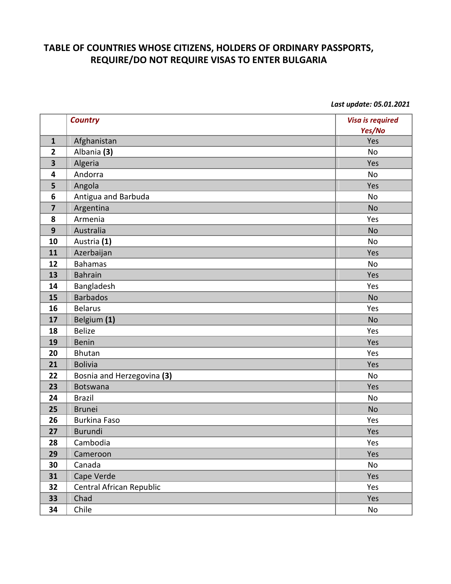## **TABLE OF COUNTRIES WHOSE CITIZENS, HOLDERS OF ORDINARY PASSPORTS, REQUIRE/DO NOT REQUIRE VISAS TO ENTER BULGARIA**

*Last update: 05.01.2021*

|                         | <b>Country</b>             | <b>Visa is required</b><br>Yes/No |
|-------------------------|----------------------------|-----------------------------------|
| $\mathbf{1}$            | Afghanistan                | Yes                               |
| $\overline{2}$          | Albania (3)                | <b>No</b>                         |
| $\overline{\mathbf{3}}$ | Algeria                    | Yes                               |
| 4                       | Andorra                    | No                                |
| 5                       | Angola                     | Yes                               |
| 6                       | Antigua and Barbuda        | No                                |
| $\overline{\mathbf{z}}$ | Argentina                  | <b>No</b>                         |
| 8                       | Armenia                    | Yes                               |
| 9                       | Australia                  | <b>No</b>                         |
| 10                      | Austria (1)                | No                                |
| 11                      | Azerbaijan                 | Yes                               |
| 12                      | <b>Bahamas</b>             | No                                |
| 13                      | <b>Bahrain</b>             | Yes                               |
| 14                      | Bangladesh                 | Yes                               |
| 15                      | <b>Barbados</b>            | <b>No</b>                         |
| 16                      | <b>Belarus</b>             | Yes                               |
| 17                      | Belgium (1)                | <b>No</b>                         |
| 18                      | <b>Belize</b>              | Yes                               |
| 19                      | <b>Benin</b>               | Yes                               |
| 20                      | <b>Bhutan</b>              | Yes                               |
| 21                      | <b>Bolivia</b>             | Yes                               |
| 22                      | Bosnia and Herzegovina (3) | No                                |
| 23                      | <b>Botswana</b>            | Yes                               |
| 24                      | <b>Brazil</b>              | No                                |
| 25                      | <b>Brunei</b>              | <b>No</b>                         |
| 26                      | <b>Burkina Faso</b>        | Yes                               |
| 27                      | <b>Burundi</b>             | Yes                               |
| 28                      | Cambodia                   | Yes                               |
| 29                      | Cameroon                   | Yes                               |
| 30                      | Canada                     | No                                |
| 31                      | Cape Verde                 | Yes                               |
| 32                      | Central African Republic   | Yes                               |
| 33                      | Chad                       | Yes                               |
| 34                      | Chile                      | No                                |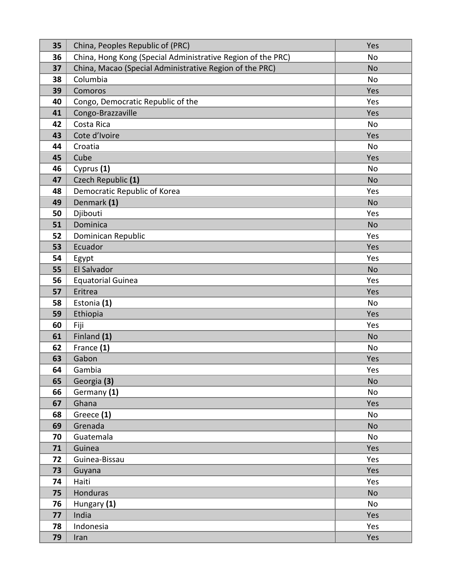| 35       | China, Peoples Republic of (PRC)                            | Yes             |
|----------|-------------------------------------------------------------|-----------------|
| 36       | China, Hong Kong (Special Administrative Region of the PRC) | No              |
| 37       | China, Macao (Special Administrative Region of the PRC)     | <b>No</b>       |
| 38       | Columbia                                                    | <b>No</b>       |
| 39       | Comoros                                                     | Yes             |
| 40       | Congo, Democratic Republic of the                           | Yes             |
| 41       | Congo-Brazzaville                                           | Yes             |
| 42       | Costa Rica                                                  | <b>No</b>       |
| 43       | Cote d'Ivoire                                               | Yes             |
| 44       | Croatia                                                     | No              |
| 45       | Cube                                                        | Yes             |
| 46       | Cyprus (1)                                                  | No              |
| 47       | Czech Republic (1)                                          | <b>No</b>       |
| 48       | Democratic Republic of Korea                                | Yes             |
| 49       | Denmark (1)                                                 | <b>No</b>       |
| 50       | Djibouti                                                    | Yes             |
| 51       | Dominica                                                    | <b>No</b>       |
| 52       | Dominican Republic                                          | Yes             |
| 53       | Ecuador                                                     | Yes             |
| 54       | Egypt                                                       | Yes             |
| 55       | El Salvador                                                 | <b>No</b>       |
| 56       | <b>Equatorial Guinea</b>                                    | Yes             |
| 57       | Eritrea                                                     | Yes             |
| 58       | Estonia (1)                                                 | <b>No</b>       |
| 59       | Ethiopia                                                    | Yes             |
| 60       | Fiji                                                        | Yes             |
| 61       | Finland (1)                                                 | <b>No</b>       |
| 62       | France (1)                                                  | <b>No</b>       |
| 63       | Gabon                                                       | Yes             |
| 64       | Gambia                                                      | Yes             |
| 65       | Georgia (3)                                                 | <b>No</b>       |
| 66       | Germany (1)                                                 | No              |
| 67       | Ghana                                                       | Yes             |
| 68       | Greece (1)                                                  | No              |
| 69       | Grenada                                                     | <b>No</b>       |
| 70       | Guatemala                                                   | No              |
| 71       | Guinea                                                      | Yes             |
| 72       | Guinea-Bissau                                               | Yes             |
| 73<br>74 | Guyana<br>Haiti                                             | Yes<br>Yes      |
|          |                                                             |                 |
| 75<br>76 | Honduras                                                    | <b>No</b><br>No |
| 77       | Hungary (1)<br>India                                        | Yes             |
| 78       | Indonesia                                                   | Yes             |
|          |                                                             |                 |
| 79       | Iran                                                        | Yes             |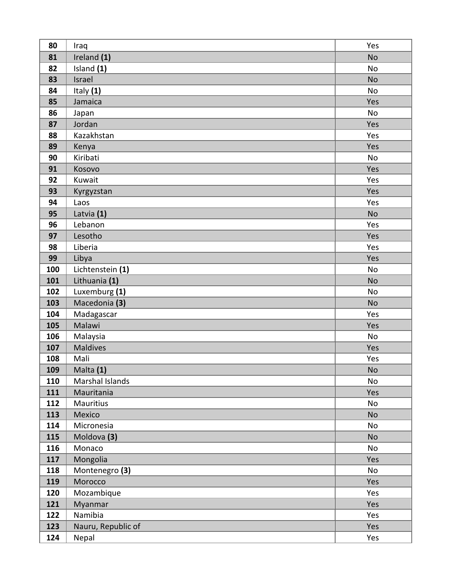| 80  | Iraq               | Yes       |
|-----|--------------------|-----------|
| 81  | Ireland (1)        | <b>No</b> |
| 82  | Island (1)         | <b>No</b> |
| 83  | Israel             | <b>No</b> |
| 84  | Italy (1)          | No        |
| 85  | Jamaica            | Yes       |
| 86  | Japan              | <b>No</b> |
| 87  | Jordan             | Yes       |
| 88  | Kazakhstan         | Yes       |
| 89  | Kenya              | Yes       |
| 90  | Kiribati           | No        |
| 91  | Kosovo             | Yes       |
| 92  | Kuwait             | Yes       |
| 93  | Kyrgyzstan         | Yes       |
| 94  | Laos               | Yes       |
| 95  | Latvia (1)         | <b>No</b> |
| 96  | Lebanon            | Yes       |
| 97  | Lesotho            | Yes       |
| 98  | Liberia            | Yes       |
| 99  | Libya              | Yes       |
| 100 | Lichtenstein (1)   | No        |
| 101 | Lithuania (1)      | <b>No</b> |
| 102 | Luxemburg (1)      | No        |
| 103 | Macedonia (3)      | <b>No</b> |
| 104 | Madagascar         | Yes       |
| 105 | Malawi             | Yes       |
| 106 | Malaysia           | <b>No</b> |
| 107 | <b>Maldives</b>    | Yes       |
| 108 | Mali               | Yes       |
| 109 | Malta (1)          | <b>No</b> |
| 110 | Marshal Islands    | No        |
| 111 | Mauritania         | Yes       |
| 112 | <b>Mauritius</b>   | No        |
| 113 | Mexico             | <b>No</b> |
| 114 | Micronesia         | No        |
| 115 | Moldova (3)        | <b>No</b> |
| 116 | Monaco             | No        |
| 117 | Mongolia           | Yes       |
| 118 | Montenegro (3)     | No        |
| 119 | Morocco            | Yes       |
| 120 | Mozambique         | Yes       |
| 121 | Myanmar            | Yes       |
| 122 | Namibia            | Yes       |
| 123 | Nauru, Republic of | Yes       |
| 124 | Nepal              | Yes       |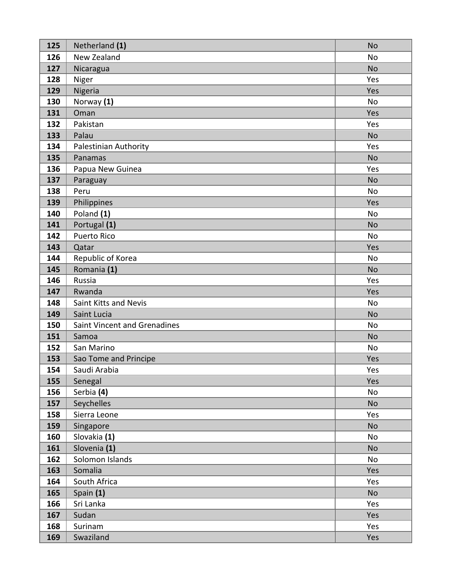| 125 | Netherland (1)               | <b>No</b> |
|-----|------------------------------|-----------|
| 126 | New Zealand                  | <b>No</b> |
| 127 | Nicaragua                    | <b>No</b> |
| 128 | Niger                        | Yes       |
| 129 | Nigeria                      | Yes       |
| 130 | Norway (1)                   | <b>No</b> |
| 131 | Oman                         | Yes       |
| 132 | Pakistan                     | Yes       |
| 133 | Palau                        | <b>No</b> |
| 134 | Palestinian Authority        | Yes       |
| 135 | Panamas                      | <b>No</b> |
| 136 | Papua New Guinea             | Yes       |
| 137 | Paraguay                     | <b>No</b> |
| 138 | Peru                         | <b>No</b> |
| 139 | Philippines                  | Yes       |
| 140 | Poland (1)                   | <b>No</b> |
| 141 | Portugal (1)                 | <b>No</b> |
| 142 | <b>Puerto Rico</b>           | <b>No</b> |
| 143 | Qatar                        | Yes       |
| 144 | Republic of Korea            | <b>No</b> |
| 145 | Romania (1)                  | <b>No</b> |
| 146 | Russia                       | Yes       |
| 147 | Rwanda                       | Yes       |
| 148 | Saint Kitts and Nevis        | <b>No</b> |
| 149 | Saint Lucia                  | <b>No</b> |
| 150 | Saint Vincent and Grenadines | <b>No</b> |
| 151 | Samoa                        | <b>No</b> |
| 152 | San Marino                   | <b>No</b> |
| 153 | Sao Tome and Principe        | Yes       |
| 154 | Saudi Arabia                 | Yes       |
| 155 | Senegal                      | Yes       |
| 156 | Serbia (4)                   | No        |
| 157 | Seychelles                   | <b>No</b> |
| 158 | Sierra Leone                 | Yes       |
| 159 | Singapore                    | No        |
| 160 | Slovakia (1)                 | No        |
| 161 | Slovenia (1)                 | <b>No</b> |
| 162 | Solomon Islands              | No        |
| 163 | Somalia                      | Yes       |
| 164 | South Africa                 | Yes       |
| 165 | Spain (1)                    | <b>No</b> |
| 166 | Sri Lanka                    | Yes       |
| 167 | Sudan                        | Yes       |
| 168 | Surinam                      | Yes       |
| 169 | Swaziland                    | Yes       |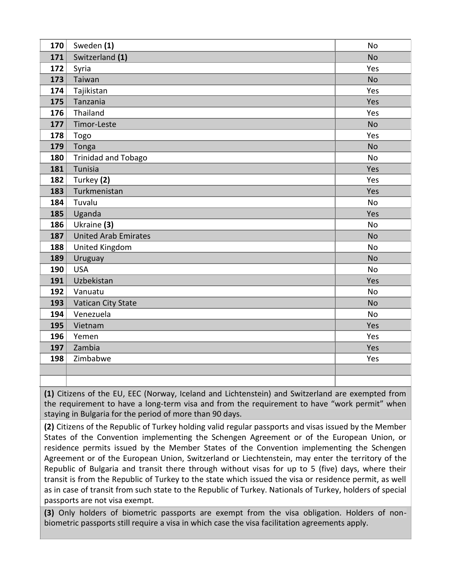| 170 | Sweden (1)                  | <b>No</b> |
|-----|-----------------------------|-----------|
| 171 | Switzerland (1)             | <b>No</b> |
| 172 | Syria                       | Yes       |
| 173 | Taiwan                      | <b>No</b> |
| 174 | Tajikistan                  | Yes       |
| 175 | Tanzania                    | Yes       |
| 176 | Thailand                    | Yes       |
| 177 | Timor-Leste                 | <b>No</b> |
| 178 | Togo                        | Yes       |
| 179 | Tonga                       | <b>No</b> |
| 180 | Trinidad and Tobago         | <b>No</b> |
| 181 | Tunisia                     | Yes       |
| 182 | Turkey (2)                  | Yes       |
| 183 | Turkmenistan                | Yes       |
| 184 | Tuvalu                      | <b>No</b> |
| 185 | Uganda                      | Yes       |
| 186 | Ukraine (3)                 | <b>No</b> |
| 187 | <b>United Arab Emirates</b> | <b>No</b> |
| 188 | United Kingdom              | <b>No</b> |
| 189 | Uruguay                     | <b>No</b> |
| 190 | <b>USA</b>                  | <b>No</b> |
| 191 | Uzbekistan                  | Yes       |
| 192 | Vanuatu                     | <b>No</b> |
| 193 | Vatican City State          | <b>No</b> |
| 194 | Venezuela                   | <b>No</b> |
| 195 | Vietnam                     | Yes       |
| 196 | Yemen                       | Yes       |
| 197 | Zambia                      | Yes       |
| 198 | Zimbabwe                    | Yes       |
|     |                             |           |
|     |                             |           |

**(1)** Citizens of the EU, EEC (Norway, Iceland and Lichtenstein) and Switzerland are exempted from the requirement to have a long-term visa and from the requirement to have "work permit" when staying in Bulgaria for the period of more than 90 days.

**(2)** Citizens of the Republic of Turkey holding valid regular passports and visas issued by the Member States of the Convention implementing the Schengen Agreement or of the European Union, or residence permits issued by the Member States of the Convention implementing the Schengen Agreement or of the European Union, Switzerland or Liechtenstein, may enter the territory of the Republic of Bulgaria and transit there through without visas for up to 5 (five) days, where their transit is from the Republic of Turkey to the state which issued the visa or residence permit, as well as in case of transit from such state to the Republic of Turkey. Nationals of Turkey, holders of special passports are not visa exempt.

**(3)** Only holders of biometric passports are exempt from the visa obligation. Holders of nonbiometric passports still require a visa in which case the visa facilitation agreements apply.